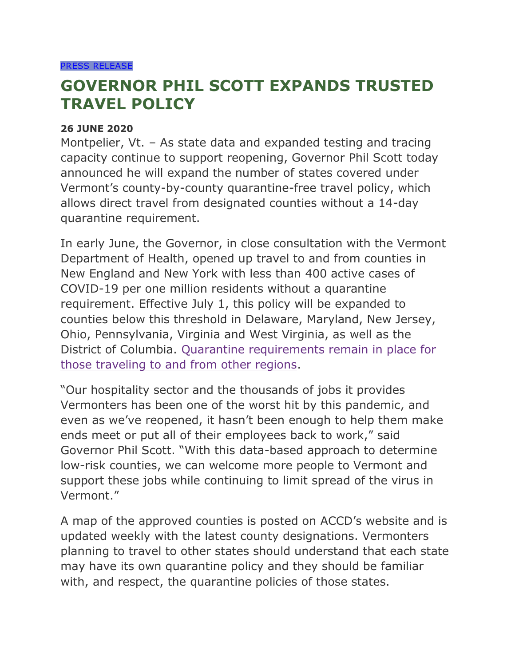## **GOVERNOR PHIL SCOTT EXPANDS TRUSTED TRAVEL POLICY**

## **26 JUNE 2020**

Montpelier, Vt. – As state data and expanded testing and tracing capacity continue to support reopening, Governor Phil Scott today announced he will expand the number of states covered under Vermont's county-by-county quarantine-free travel policy, which allows direct travel from designated counties without a 14-day quarantine requirement.

In early June, the Governor, in close consultation with the Vermont Department of Health, opened up travel to and from counties in New England and New York with less than 400 active cases of COVID-19 per one million residents without a quarantine requirement. Effective July 1, this policy will be expanded to counties below this threshold in Delaware, Maryland, New Jersey, Ohio, Pennsylvania, Virginia and West Virginia, as well as the District of Columbia. [Quarantine requirements remain in place for](https://www.healthvermont.gov/response/coronavirus-covid-19/traveling-vermont)  [those traveling to and from other regions.](https://www.healthvermont.gov/response/coronavirus-covid-19/traveling-vermont)

"Our hospitality sector and the thousands of jobs it provides Vermonters has been one of the worst hit by this pandemic, and even as we've reopened, it hasn't been enough to help them make ends meet or put all of their employees back to work," said Governor Phil Scott. "With this data-based approach to determine low-risk counties, we can welcome more people to Vermont and support these jobs while continuing to limit spread of the virus in Vermont."

A map of the approved counties is posted on ACCD's website and is updated weekly with the latest county designations. Vermonters planning to travel to other states should understand that each state may have its own quarantine policy and they should be familiar with, and respect, the quarantine policies of those states.